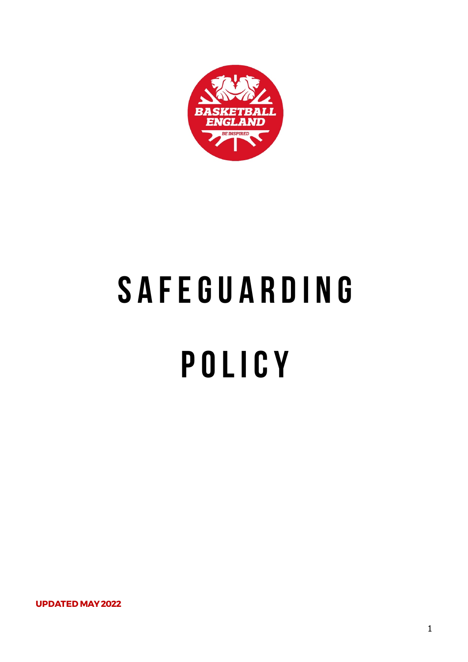

# S A F E G U A R D I N G **P o l I c y**

**UPDATED MAY 2022**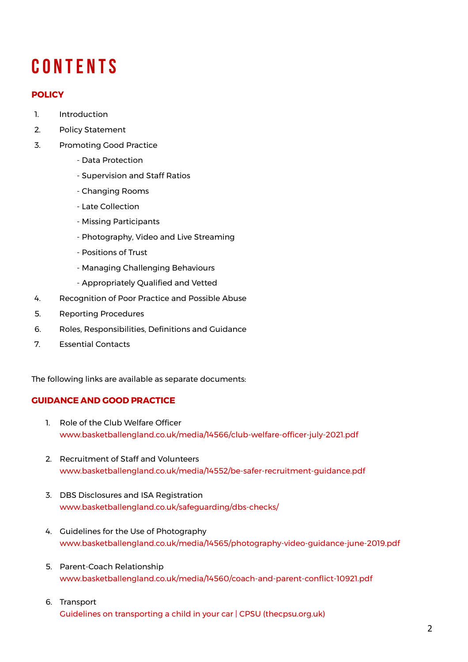# **C o n t e n t s**

# **POLICY**

- 1. Introduction
- 2. Policy Statement
- 3. Promoting Good Practice
	- Data Protection
	- Supervision and Staff Ratios
	- Changing Rooms
	- Late Collection
	- Missing Participants
	- Photography, Video and Live Streaming
	- Positions of Trust
	- Managing Challenging Behaviours
	- Appropriately Qualified and Vetted
- 4. Recognition of Poor Practice and Possible Abuse
- 5. Reporting Procedures
- 6. Roles, Responsibilities, Definitions and Guidance
- 7. Essential Contacts

The following links are available as separate documents:

# **GUIDANCE AND GOOD PRACTICE**

- 1. Role of the Club Welfare Officer [www.basketballengland.co.uk/media/14566/club-welfare-officer-july-2021.pdf](http://www.basketballengland.co.uk/media/14566/club-welfare-officer-july-2021.pdf)
- 2. Recruitment of Staff and Volunteers [www.basketballengland.co.uk/media/14552/be-safer-recruitment-guidance.pdf](http://www.basketballengland.co.uk/media/14552/be-safer-recruitment-guidance.pdf)
- 3. DBS Disclosures and ISA Registration [www.basketballengland.co.uk/safeguarding/dbs-checks/](http://www.basketballengland.co.uk/safeguarding/dbs-checks/)
- 4. Guidelines for the Use of Photography [www.basketballengland.co.uk/media/14565/photography-video-guidance-june-2019.pdf](http://www.basketballengland.co.uk/media/14565/photography-video-guidance-june-2019.pdf)
- 5. Parent-Coach Relationship [www.basketballengland.co.uk/media/14560/coach-and-parent-conflict-10921.pdf](http://www.basketballengland.co.uk/media/14560/coach-and-parent-conflict-10921.pdf)
- 6. Transport [Guidelines on transporting a child in your car | CPSU \(thecpsu.org.uk\)](https://thecpsu.org.uk/resource-library/best-practice/guidelines-on-transporting-a-child-or-young-person-in-your-car/)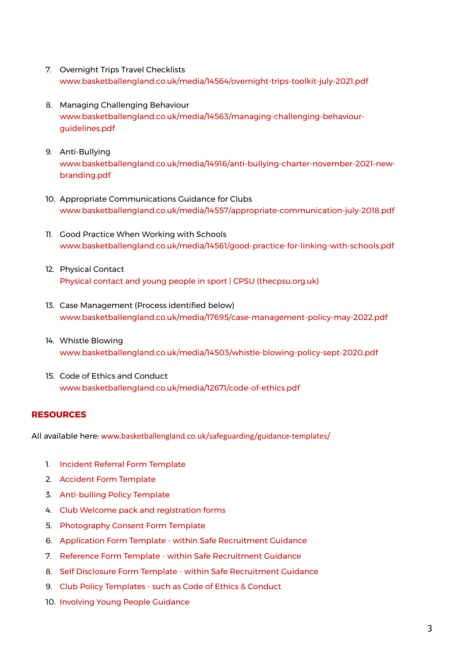- 7. Overnight Trips Travel Checklists [www.basketballengland.co.uk/media/14564/overnight-trips-toolkit-july-2021.pdf](http://www.basketballengland.co.uk/media/14564/overnight-trips-toolkit-july-2021.pdf)
- 8. Managing Challenging Behaviour [www.basketballengland.co.uk/media/14563/managing-challenging-behaviour](http://www.basketballengland.co.uk/media/14563/managing-challenging-behaviour-guidelines.pdf)guidelines.pdf
- 9. Anti-Bullying [www.basketballengland.co.uk/media/14916/anti-bullying-charter-november-2021-new](https://www.basketballengland.co.uk/media/14916/anti-bullying-charter-november-2021-new-branding.pdf)branding.pdf
- 10. [Appropriate](https://www.basketballengland.co.uk/media/4698/eletronic-communications-guidance-cpsu.pdf) Communications Guidance for Clubs [www.basketballengland.co.uk/media/14557/appropriate-communication-july-2018.pdf](http://www.basketballengland.co.uk/media/14557/appropriate-communication-july-2018.pdf)
- 11. Good Practice When Working with Schools [www.basketballengland.co.uk/media/14561/good-practice-for-linking-with-schools.pdf](http://www.basketballengland.co.uk/media/14561/good-practice-for-linking-with-schools.pdf)
- 12. Physical Contact [Physical contact and young people in sport | CPSU \(thecpsu.org.uk\)](https://thecpsu.org.uk/resource-library/best-practice/physical-contact-and-young-people-in-sport/)
- 13. Case Management (Process identified below) [www.basketballengland.co.uk/media/17695/case-management-policy-may-2022.pdf](https://www.basketballengland.co.uk/media/17695/case-management-policy-may-2022.pdf)
- 14. Whistle Blowing [www.basketballengland.co.uk/media/14503/whistle-blowing-policy-sept-2020.pdf](http://www.basketballengland.co.uk/media/14503/whistle-blowing-policy-sept-2020.pdf)
- 15. Code of Ethics and Conduct [www.basketballengland.co.uk/media/12671/code-of-ethics.pdf](http://www.basketballengland.co.uk/media/12671/code-of-ethics.pdf)

# **RESOURCES**

All available here: [www.basketballengland.co.uk/safeguarding/guidance-templates/](https://www.basketballengland.co.uk/safeguarding/guidance-templates/)

- 1. [Incident Referral Form Template](http://www.basketballengland.co.uk/media/14553/incident-referral-form.docx)
- 2. [Accident Form Template](http://www.basketballengland.co.uk/media/14549/accident-form.docx)
- 3. [Anti-bulling Policy Template](https://www.basketballengland.co.uk/media/14550/anti-bullying-template-policy.docx)
- 4. [Club Welcome pack and registration forms](https://www.basketballengland.co.uk/media/14559/club-welcome-pack-and-registration-forms.docx)
- 5. [Photography Consent Form Template](https://www.basketballengland.co.uk/media/14555/photography-consent-form.docx)
- 6. [Application Form Template within Safe Recruitment Guidance](https://www.basketballengland.co.uk/media/14552/be-safer-recruitment-guidance.pdf)
- 7. [Reference Form Template within Safe Recruitment Guidance](https://www.basketballengland.co.uk/media/14552/be-safer-recruitment-guidance.pdf)
- 8. [Self Disclosure Form Template within Safe Recruitment Guidance](https://www.basketballengland.co.uk/media/14552/be-safer-recruitment-guidance.pdf)
- 9. [Club Policy Templates such as Code of Ethics & Conduct](http://www.basketballengland.co.uk/media/12671/code-of-ethics.pdf)
- 10. [Involving Young People Guidance](https://www.basketballengland.co.uk/media/14554/involving-young-people-guidance-may-2021.docx)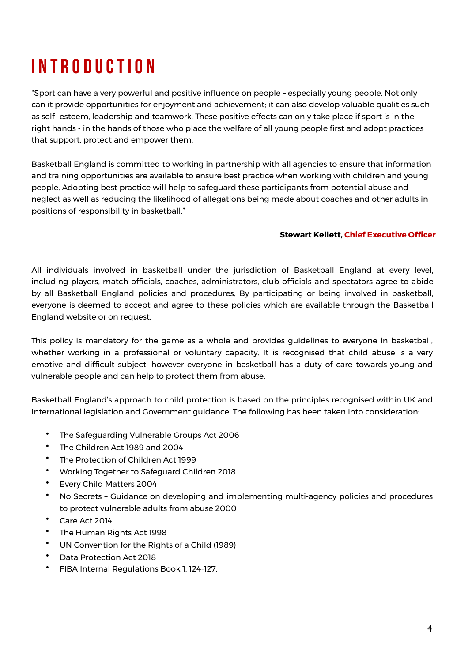# **I n t r o d u c t I o n**

"Sport can have a very powerful and positive influence on people – especially young people. Not only can it provide opportunities for enjoyment and achievement; it can also develop valuable qualities such as self- esteem, leadership and teamwork. These positive effects can only take place if sport is in the right hands - in the hands of those who place the welfare of all young people first and adopt practices that support, protect and empower them.

Basketball England is committed to working in partnership with all agencies to ensure that information and training opportunities are available to ensure best practice when working with children and young people. Adopting best practice will help to safeguard these participants from potential abuse and neglect as well as reducing the likelihood of allegations being made about coaches and other adults in positions of responsibility in basketball."

#### **Stewart Kellett, Chief Executive Officer**

All individuals involved in basketball under the jurisdiction of Basketball England at every level, including players, match officials, coaches, administrators, club officials and spectators agree to abide by all Basketball England policies and procedures. By participating or being involved in basketball, everyone is deemed to accept and agree to these policies which are available through the Basketball England website or on request.

This policy is mandatory for the game as a whole and provides guidelines to everyone in basketball, whether working in a professional or voluntary capacity. It is recognised that child abuse is a very emotive and difficult subject; however everyone in basketball has a duty of care towards young and vulnerable people and can help to protect them from abuse.

Basketball England's approach to child protection is based on the principles recognised within UK and International legislation and Government guidance. The following has been taken into consideration:

- The Safeguarding Vulnerable Groups Act 2006
- The Children Act 1989 and 2004
- The Protection of Children Act 1999
- Working Together to Safeguard Children 2018
- Every Child Matters 2004
- No Secrets Guidance on developing and implementing multi-agency policies and procedures to protect vulnerable adults from abuse 2000
- Care Act 2014
- The Human Rights Act 1998
- UN Convention for the Rights of a Child (1989)
- Data Protection Act 2018
- FIBA Internal Regulations Book 1, 124-127.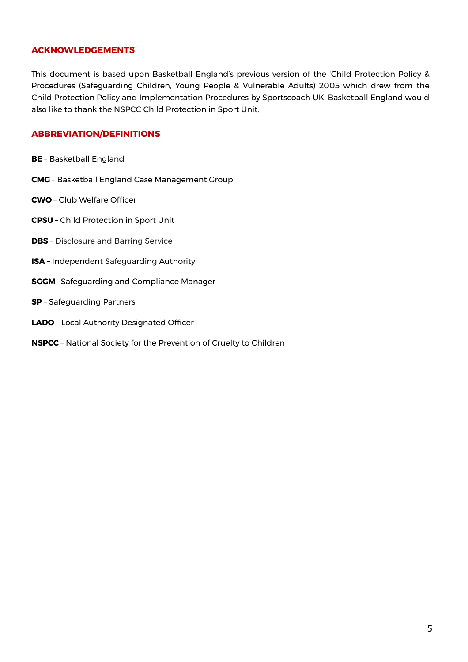### **ACKNOWLEDGEMENTS**

This document is based upon Basketball England's previous version of the 'Child Protection Policy & Procedures (Safeguarding Children, Young People & Vulnerable Adults) 2005 which drew from the Child Protection Policy and Implementation Procedures by Sportscoach UK. Basketball England would also like to thank the NSPCC Child Protection in Sport Unit.

### **ABBREVIATION/DEFINITIONS**

- **BE**  Basketball England
- **CMG**  Basketball England Case Management Group
- **CWO**  Club Welfare Officer
- **CPSU**  Child Protection in Sport Unit
- **DBS**  Disclosure and Barring Service
- **ISA**  Independent Safeguarding Authority
- **SGGM** Safeguarding and Compliance Manager
- **SP**  Safeguarding Partners
- **LADO**  Local Authority Designated Officer
- **NSPCC**  National Society for the Prevention of Cruelty to Children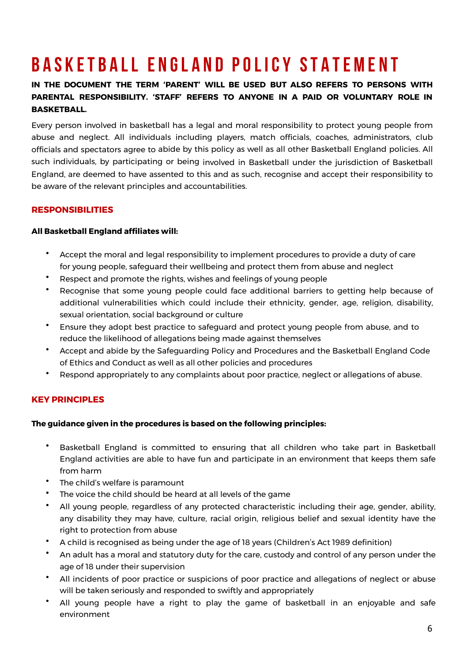# BASKETBALL ENGLAND POLICY STATEMENT

# **IN THE DOCUMENT THE TERM 'PARENT' WILL BE USED BUT ALSO REFERS TO PERSONS WITH PARENTAL RESPONSIBILITY. 'STAFF' REFERS TO ANYONE IN A PAID OR VOLUNTARY ROLE IN BASKETBALL.**

Every person involved in basketball has a legal and moral responsibility to protect young people from abuse and neglect. All individuals including players, match officials, coaches, administrators, club officials and spectators agree to abide by this policy as well as all other Basketball England policies. All such individuals, by participating or being involved in Basketball under the jurisdiction of Basketball England, are deemed to have assented to this and as such, recognise and accept their responsibility to be aware of the relevant principles and accountabilities.

# **RESPONSIBILITIES**

### **All Basketball England affiliates will:**

- Accept the moral and legal responsibility to implement procedures to provide a duty of care for young people, safeguard their wellbeing and protect them from abuse and neglect
- Respect and promote the rights, wishes and feelings of young people
- Recognise that some young people could face additional barriers to getting help because of additional vulnerabilities which could include their ethnicity, gender, age, religion, disability, sexual orientation, social background or culture
- Ensure they adopt best practice to safeguard and protect young people from abuse, and to reduce the likelihood of allegations being made against themselves
- Accept and abide by the Safeguarding Policy and Procedures and the Basketball England Code of Ethics and Conduct as well as all other policies and procedures
- Respond appropriately to any complaints about poor practice, neglect or allegations of abuse.

# **KEY PRINCIPLES**

#### **The guidance given in the procedures is based on the following principles:**

- Basketball England is committed to ensuring that all children who take part in Basketball England activities are able to have fun and participate in an environment that keeps them safe from harm
- The child's welfare is paramount
- The voice the child should be heard at all levels of the game
- All young people, regardless of any protected characteristic including their age, gender, ability, any disability they may have, culture, racial origin, religious belief and sexual identity have the right to protection from abuse
- A child is recognised as being under the age of 18 years (Children's Act 1989 definition)
- An adult has a moral and statutory duty for the care, custody and control of any person under the age of 18 under their supervision
- All incidents of poor practice or suspicions of poor practice and allegations of neglect or abuse will be taken seriously and responded to swiftly and appropriately
- All young people have a right to play the game of basketball in an enjoyable and safe environment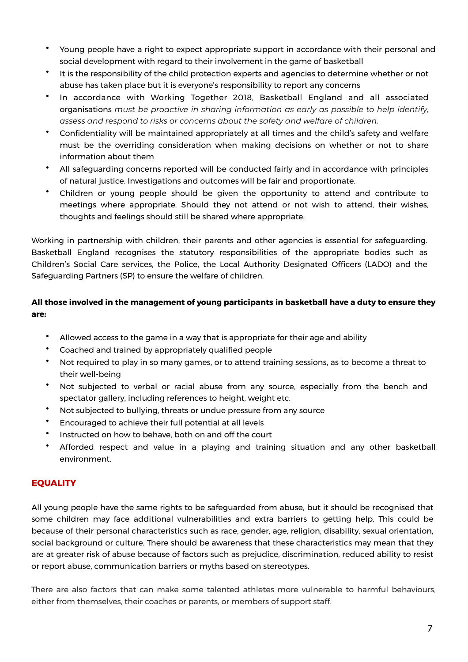- Young people have a right to expect appropriate support in accordance with their personal and social development with regard to their involvement in the game of basketball
- It is the responsibility of the child protection experts and agencies to determine whether or not abuse has taken place but it is everyone's responsibility to report any concerns
- In accordance with Working Together 2018, Basketball England and all associated organisations *must be proactive in sharing information as early as possible to help identify, assess and respond to risks or concerns about the safety and welfare of children.*
- Confidentiality will be maintained appropriately at all times and the child's safety and welfare must be the overriding consideration when making decisions on whether or not to share information about them
- All safeguarding concerns reported will be conducted fairly and in accordance with principles of natural justice. Investigations and outcomes will be fair and proportionate.
- Children or young people should be given the opportunity to attend and contribute to meetings where appropriate. Should they not attend or not wish to attend, their wishes, thoughts and feelings should still be shared where appropriate.

Working in partnership with children, their parents and other agencies is essential for safeguarding. Basketball England recognises the statutory responsibilities of the appropriate bodies such as Children's Social Care services, the Police, the Local Authority Designated Officers (LADO) and the Safeguarding Partners (SP) to ensure the welfare of children.

# **All those involved in the management of young participants in basketball have a duty to ensure they are:**

- Allowed access to the game in a way that is appropriate for their age and ability
- Coached and trained by appropriately qualified people
- Not required to play in so many games, or to attend training sessions, as to become a threat to their well-being
- Not subjected to verbal or racial abuse from any source, especially from the bench and spectator gallery, including references to height, weight etc.
- Not subjected to bullying, threats or undue pressure from any source
- Encouraged to achieve their full potential at all levels
- Instructed on how to behave, both on and off the court
- Afforded respect and value in a playing and training situation and any other basketball environment.

# **EQUALITY**

All young people have the same rights to be safeguarded from abuse, but it should be recognised that some children may face additional vulnerabilities and extra barriers to getting help. This could be because of their personal characteristics such as race, gender, age, religion, disability, sexual orientation, social background or culture. There should be awareness that these characteristics may mean that they are at greater risk of abuse because of factors such as prejudice, discrimination, reduced ability to resist or report abuse, communication barriers or myths based on stereotypes.

There are also factors that can make some talented athletes more vulnerable to harmful behaviours, either from themselves, their coaches or parents, or members of support staff.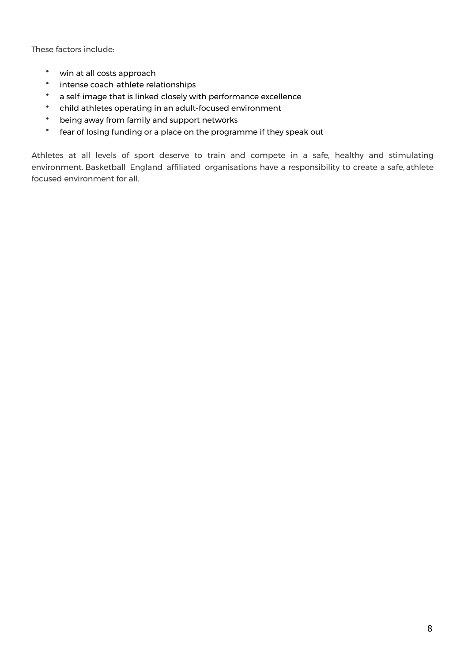These factors include:

- win at all costs approach
- intense coach-athlete relationships
- a self-image that is linked closely with performance excellence
- child athletes operating in an adult-focused environment
- being away from family and support networks
- fear of losing funding or a place on the programme if they speak out

Athletes at all levels of sport deserve to train and compete in a safe, healthy and stimulating environment. Basketball England affiliated organisations have a responsibility to create a safe, athlete focused environment for all.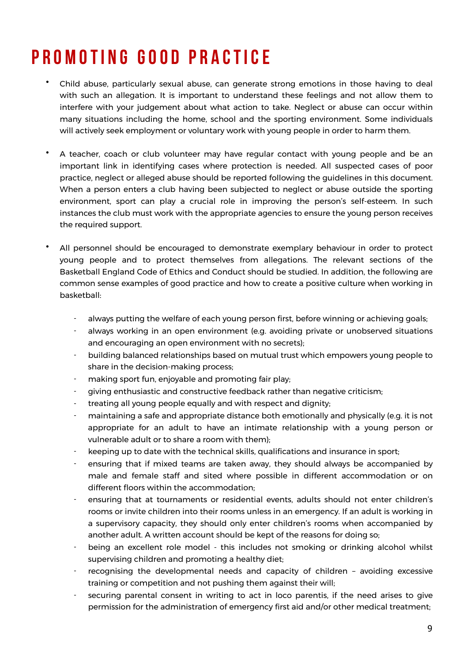# **P r o m o t I n g g o o d p r a c t I c e**

- Child abuse, particularly sexual abuse, can generate strong emotions in those having to deal with such an allegation. It is important to understand these feelings and not allow them to interfere with your judgement about what action to take. Neglect or abuse can occur within many situations including the home, school and the sporting environment. Some individuals will actively seek employment or voluntary work with young people in order to harm them.
- A teacher, coach or club volunteer may have regular contact with young people and be an important link in identifying cases where protection is needed. All suspected cases of poor practice, neglect or alleged abuse should be reported following the guidelines in this document. When a person enters a club having been subjected to neglect or abuse outside the sporting environment, sport can play a crucial role in improving the person's self-esteem. In such instances the club must work with the appropriate agencies to ensure the young person receives the required support.
- All personnel should be encouraged to demonstrate exemplary behaviour in order to protect young people and to protect themselves from allegations. The relevant sections of the Basketball England Code of Ethics and Conduct should be studied. In addition, the following are common sense examples of good practice and how to create a positive culture when working in basketball:
	- always putting the welfare of each young person first, before winning or achieving goals;
	- always working in an open environment (e.g. avoiding private or unobserved situations and encouraging an open environment with no secrets);
	- building balanced relationships based on mutual trust which empowers young people to share in the decision-making process;
	- making sport fun, enjoyable and promoting fair play;
	- giving enthusiastic and constructive feedback rather than negative criticism;
	- treating all young people equally and with respect and dignity;
	- maintaining a safe and appropriate distance both emotionally and physically (e.g. it is not appropriate for an adult to have an intimate relationship with a young person or vulnerable adult or to share a room with them);
	- keeping up to date with the technical skills, qualifications and insurance in sport;
	- ensuring that if mixed teams are taken away, they should always be accompanied by male and female staff and sited where possible in different accommodation or on different floors within the accommodation;
	- ensuring that at tournaments or residential events, adults should not enter children's rooms or invite children into their rooms unless in an emergency. If an adult is working in a supervisory capacity, they should only enter children's rooms when accompanied by another adult. A written account should be kept of the reasons for doing so;
	- being an excellent role model this includes not smoking or drinking alcohol whilst supervising children and promoting a healthy diet;
	- recognising the developmental needs and capacity of children avoiding excessive training or competition and not pushing them against their will;
	- securing parental consent in writing to act in loco parentis, if the need arises to give permission for the administration of emergency first aid and/or other medical treatment;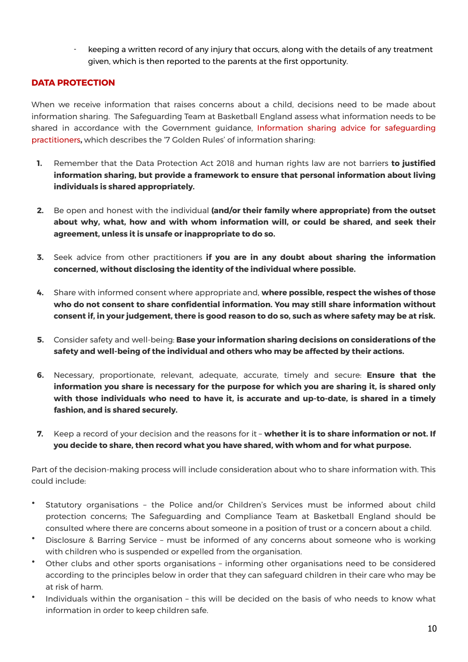keeping a written record of any injury that occurs, along with the details of any treatment given, which is then reported to the parents at the first opportunity.

# **DATA PROTECTION**

When we receive information that raises concerns about a child, decisions need to be made about information sharing. The Safeguarding Team at Basketball England assess what information needs to be shared in accordance with the Government guidance, [Information sharing advice for safeguarding](https://www.gov.uk/government/publications/safeguarding-practitioners-information-sharing-advice) [practitioners](https://www.gov.uk/government/publications/safeguarding-practitioners-information-sharing-advice)**,** which describes the '7 Golden Rules' of information sharing:

- **1.** Remember that the Data Protection Act 2018 and human rights law are not barriers **to justified information sharing, but provide a framework to ensure that personal information about living individuals is shared appropriately.**
- **2.** Be open and honest with the individual **(and/or their family where appropriate) from the outset about why, what, how and with whom information will, or could be shared, and seek their agreement, unless it is unsafe or inappropriate to do so.**
- **3.** Seek advice from other practitioners **if you are in any doubt about sharing the information concerned, without disclosing the identity of the individual where possible.**
- **4.** Share with informed consent where appropriate and, **where possible, respect the wishes of those who do not consent to share confidential information. You may still share information without consent if, in your judgement, there is good reason to do so, such as where safety may be at risk.**
- **5.** Consider safety and well-being: **Base your information sharing decisions on considerations of the safety and well-being of the individual and others who may be affected by their actions.**
- **6.** Necessary, proportionate, relevant, adequate, accurate, timely and secure: **Ensure that the information you share is necessary for the purpose for which you are sharing it, is shared only with those individuals who need to have it, is accurate and up-to-date, is shared in a timely fashion, and is shared securely.**
- **7.** Keep a record of your decision and the reasons for it **whether it is to share information or not. If you decide to share, then record what you have shared, with whom and for what purpose.**

Part of the decision-making process will include consideration about who to share information with. This could include:

- Statutory organisations the Police and/or Children's Services must be informed about child protection concerns; The Safeguarding and Compliance Team at Basketball England should be consulted where there are concerns about someone in a position of trust or a concern about a child.
- Disclosure & Barring Service must be informed of any concerns about someone who is working with children who is suspended or expelled from the organisation.
- Other clubs and other sports organisations informing other organisations need to be considered according to the principles below in order that they can safeguard children in their care who may be at risk of harm.
- Individuals within the organisation this will be decided on the basis of who needs to know what information in order to keep children safe.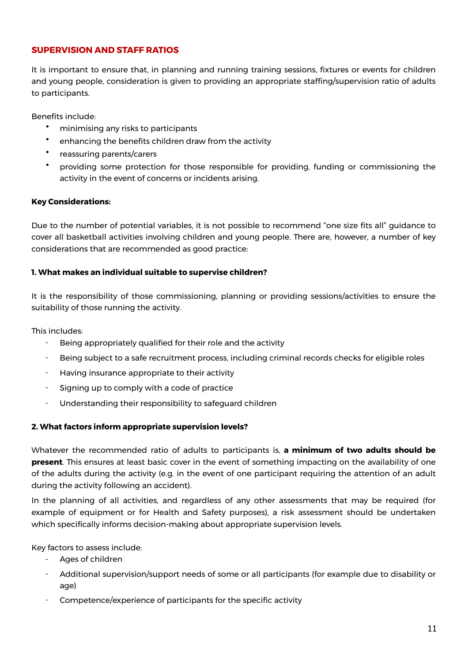# **SUPERVISION AND STAFF RATIOS**

It is important to ensure that, in planning and running training sessions, fixtures or events for children and young people, consideration is given to providing an appropriate staffing/supervision ratio of adults to participants.

Benefits include:

- minimising any risks to participants
- enhancing the benefits children draw from the activity
- reassuring parents/carers
- providing some protection for those responsible for providing, funding or commissioning the activity in the event of concerns or incidents arising.

#### **Key Considerations:**

Due to the number of potential variables, it is not possible to recommend "one size fits all" guidance to cover all basketball activities involving children and young people. There are, however, a number of key considerations that are recommended as good practice:

#### **1. What makes an individual suitable to supervise children?**

It is the responsibility of those commissioning, planning or providing sessions/activities to ensure the suitability of those running the activity.

This includes:

- Being appropriately qualified for their role and the activity
- Being subject to a safe recruitment process, including criminal records checks for eligible roles
- Having insurance appropriate to their activity
- Signing up to comply with a code of practice
- Understanding their responsibility to safeguard children

#### **2. What factors inform appropriate supervision levels?**

Whatever the recommended ratio of adults to participants is, **a minimum of two adults should be present**. This ensures at least basic cover in the event of something impacting on the availability of one of the adults during the activity (e.g. in the event of one participant requiring the attention of an adult during the activity following an accident).

In the planning of all activities, and regardless of any other assessments that may be required (for example of equipment or for Health and Safety purposes), a risk assessment should be undertaken which specifically informs decision-making about appropriate supervision levels.

Key factors to assess include:

- Ages of children
- Additional supervision/support needs of some or all participants (for example due to disability or age)
- Competence/experience of participants for the specific activity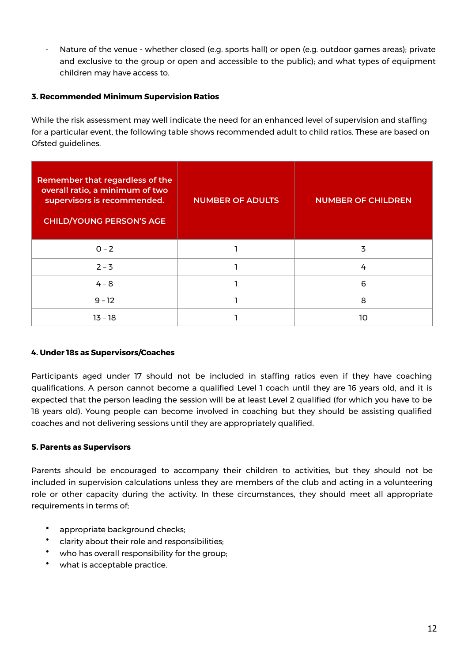- Nature of the venue - whether closed (e.g. sports hall) or open (e.g. outdoor games areas); private and exclusive to the group or open and accessible to the public); and what types of equipment children may have access to.

#### **3. Recommended Minimum Supervision Ratios**

While the risk assessment may well indicate the need for an enhanced level of supervision and staffing for a particular event, the following table shows recommended adult to child ratios. These are based on Ofsted guidelines.

| Remember that regardless of the<br>overall ratio, a minimum of two<br>supervisors is recommended.<br><b>CHILD/YOUNG PERSON'S AGE</b> | <b>NUMBER OF ADULTS</b> | <b>NUMBER OF CHILDREN</b> |
|--------------------------------------------------------------------------------------------------------------------------------------|-------------------------|---------------------------|
| $0 - 2$                                                                                                                              |                         | 3                         |
| $2 - 3$                                                                                                                              |                         | 4                         |
| $4 - 8$                                                                                                                              |                         | 6                         |
| $9 - 12$                                                                                                                             |                         | 8                         |
| $13 - 18$                                                                                                                            |                         | າດ                        |

#### **4. Under 18s as Supervisors/Coaches**

Participants aged under 17 should not be included in staffing ratios even if they have coaching qualifications. A person cannot become a qualified Level 1 coach until they are 16 years old, and it is expected that the person leading the session will be at least Level 2 qualified (for which you have to be 18 years old). Young people can become involved in coaching but they should be assisting qualified coaches and not delivering sessions until they are appropriately qualified.

#### **5. Parents as Supervisors**

Parents should be encouraged to accompany their children to activities, but they should not be included in supervision calculations unless they are members of the club and acting in a volunteering role or other capacity during the activity. In these circumstances, they should meet all appropriate requirements in terms of;

- appropriate background checks;
- clarity about their role and responsibilities;
- who has overall responsibility for the group;
- what is acceptable practice.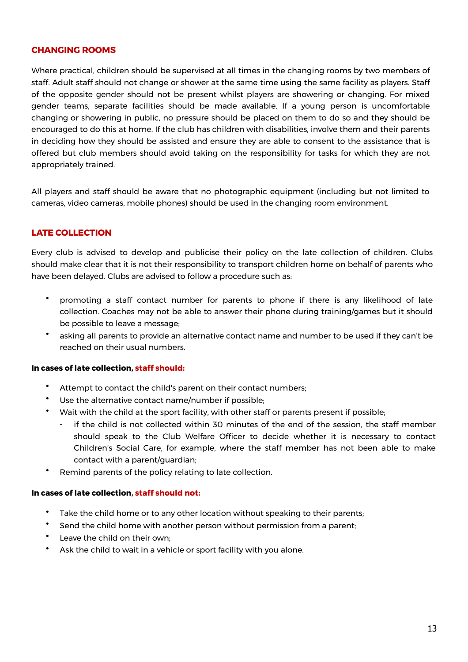#### **CHANGING ROOMS**

Where practical, children should be supervised at all times in the changing rooms by two members of staff. Adult staff should not change or shower at the same time using the same facility as players. Staff of the opposite gender should not be present whilst players are showering or changing. For mixed gender teams, separate facilities should be made available. If a young person is uncomfortable changing or showering in public, no pressure should be placed on them to do so and they should be encouraged to do this at home. If the club has children with disabilities, involve them and their parents in deciding how they should be assisted and ensure they are able to consent to the assistance that is offered but club members should avoid taking on the responsibility for tasks for which they are not appropriately trained.

All players and staff should be aware that no photographic equipment (including but not limited to cameras, video cameras, mobile phones) should be used in the changing room environment.

# **LATE COLLECTION**

Every club is advised to develop and publicise their policy on the late collection of children. Clubs should make clear that it is not their responsibility to transport children home on behalf of parents who have been delayed. Clubs are advised to follow a procedure such as:

- promoting a staff contact number for parents to phone if there is any likelihood of late collection. Coaches may not be able to answer their phone during training/games but it should be possible to leave a message;
- asking all parents to provide an alternative contact name and number to be used if they can't be reached on their usual numbers.

#### **In cases of late collection, staff should:**

- Attempt to contact the child's parent on their contact numbers;
- Use the alternative contact name/number if possible;
- Wait with the child at the sport facility, with other staff or parents present if possible;
	- if the child is not collected within 30 minutes of the end of the session, the staff member should speak to the Club Welfare Officer to decide whether it is necessary to contact Children's Social Care, for example, where the staff member has not been able to make contact with a parent/guardian;
- Remind parents of the policy relating to late collection.

#### **In cases of late collection, staff should not:**

- Take the child home or to any other location without speaking to their parents;
- Send the child home with another person without permission from a parent;
- Leave the child on their own;
- Ask the child to wait in a vehicle or sport facility with you alone.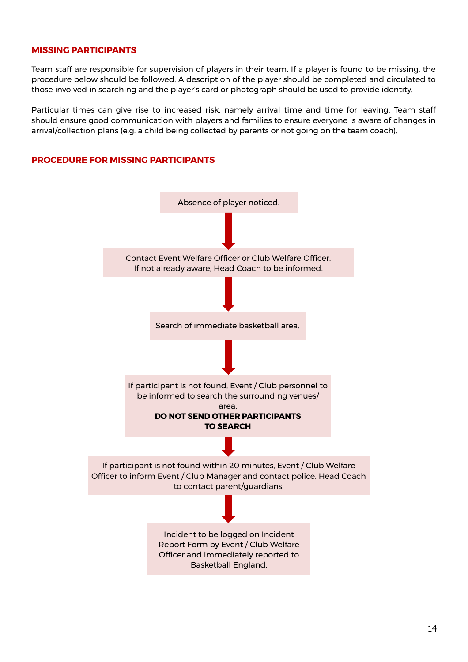#### **MISSING PARTICIPANTS**

Team staff are responsible for supervision of players in their team. If a player is found to be missing, the procedure below should be followed. A description of the player should be completed and circulated to those involved in searching and the player's card or photograph should be used to provide identity.

Particular times can give rise to increased risk, namely arrival time and time for leaving. Team staff should ensure good communication with players and families to ensure everyone is aware of changes in arrival/collection plans (e.g. a child being collected by parents or not going on the team coach).

#### **PROCEDURE FOR MISSING PARTICIPANTS**

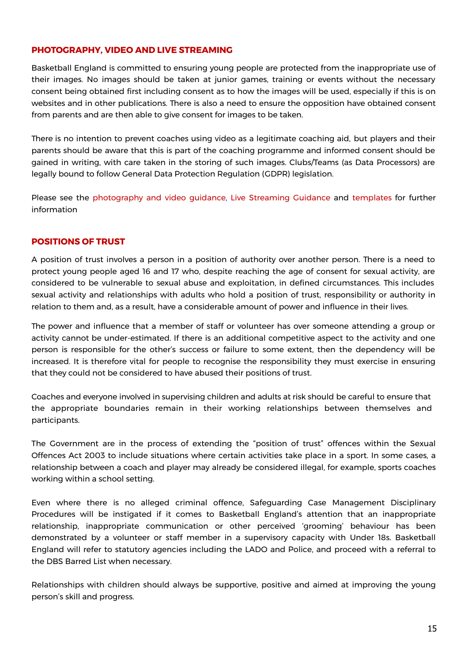### **PHOTOGRAPHY, VIDEO AND LIVE STREAMING**

Basketball England is committed to ensuring young people are protected from the inappropriate use of their images. No images should be taken at junior games, training or events without the necessary consent being obtained first including consent as to how the images will be used, especially if this is on websites and in other publications. There is also a need to ensure the opposition have obtained consent from parents and are then able to give consent for images to be taken.

There is no intention to prevent coaches using video as a legitimate coaching aid, but players and their parents should be aware that this is part of the coaching programme and informed consent should be gained in writing, with care taken in the storing of such images. Clubs/Teams (as Data Processors) are legally bound to follow General Data Protection Regulation (GDPR) legislation.

Please see the [photography and video guidance,](https://www.basketballengland.co.uk/media/14565/photography-video-guidance-june-2019.pdf) [Live Streaming Guidance](https://www.basketballengland.co.uk/media/14562/live-streaming-guidance-april-2021.pdf) and [templates](https://www.basketballengland.co.uk/media/14555/photography-consent-form.docx) for further information

#### **POSITIONS OF TRUST**

A position of trust involves a person in a position of authority over another person. There is a need to protect young people aged 16 and 17 who, despite reaching the age of consent for sexual activity, are considered to be vulnerable to sexual abuse and exploitation, in defined circumstances. This includes sexual activity and relationships with adults who hold a position of trust, responsibility or authority in relation to them and, as a result, have a considerable amount of power and influence in their lives.

The power and influence that a member of staff or volunteer has over someone attending a group or activity cannot be under-estimated. If there is an additional competitive aspect to the activity and one person is responsible for the other's success or failure to some extent, then the dependency will be increased. It is therefore vital for people to recognise the responsibility they must exercise in ensuring that they could not be considered to have abused their positions of trust.

Coaches and everyone involved in supervising children and adults at risk should be careful to ensure that the appropriate boundaries remain in their working relationships between themselves and participants.

The Government are in the process of extending the "position of trust" offences within the Sexual Offences Act 2003 to include situations where certain activities take place in a sport. In some cases, a relationship between a coach and player may already be considered illegal, for example, sports coaches working within a school setting.

Even where there is no alleged criminal offence, Safeguarding Case Management Disciplinary Procedures will be instigated if it comes to Basketball England's attention that an inappropriate relationship, inappropriate communication or other perceived 'grooming' behaviour has been demonstrated by a volunteer or staff member in a supervisory capacity with Under 18s. Basketball England will refer to statutory agencies including the LADO and Police, and proceed with a referral to the DBS Barred List when necessary.

Relationships with children should always be supportive, positive and aimed at improving the young person's skill and progress.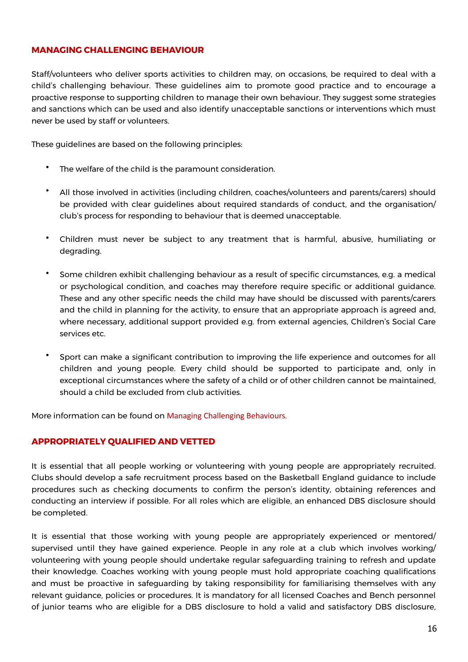#### **MANAGING CHALLENGING BEHAVIOUR**

Staff/volunteers who deliver sports activities to children may, on occasions, be required to deal with a child's challenging behaviour. These guidelines aim to promote good practice and to encourage a proactive response to supporting children to manage their own behaviour. They suggest some strategies and sanctions which can be used and also identify unacceptable sanctions or interventions which must never be used by staff or volunteers.

These guidelines are based on the following principles:

- The welfare of the child is the paramount consideration.
- All those involved in activities (including children, coaches/volunteers and parents/carers) should be provided with clear guidelines about required standards of conduct, and the organisation/ club's process for responding to behaviour that is deemed unacceptable.
- Children must never be subject to any treatment that is harmful, abusive, humiliating or degrading.
- Some children exhibit challenging behaviour as a result of specific circumstances, e.g. a medical or psychological condition, and coaches may therefore require specific or additional guidance. These and any other specific needs the child may have should be discussed with parents/carers and the child in planning for the activity, to ensure that an appropriate approach is agreed and, where necessary, additional support provided e.g. from external agencies, Children's Social Care services etc.
- Sport can make a significant contribution to improving the life experience and outcomes for all children and young people. Every child should be supported to participate and, only in exceptional circumstances where the safety of a child or of other children cannot be maintained, should a child be excluded from club activities.

More information can be found on [Managing Challenging Behaviours](https://www.basketballengland.co.uk/media/14563/managing-challenging-behaviour-guidelines.pdf).

#### **APPROPRIATELY QUALIFIED AND VETTED**

It is essential that all people working or volunteering with young people are appropriately recruited. Clubs should develop a safe recruitment process based on the Basketball England guidance to include procedures such as checking documents to confirm the person's identity, obtaining references and conducting an interview if possible. For all roles which are eligible, an enhanced DBS disclosure should be completed.

It is essential that those working with young people are appropriately experienced or mentored/ supervised until they have gained experience. People in any role at a club which involves working/ volunteering with young people should undertake regular safeguarding training to refresh and update their knowledge. Coaches working with young people must hold appropriate coaching qualifications and must be proactive in safeguarding by taking responsibility for familiarising themselves with any relevant guidance, policies or procedures. It is mandatory for all licensed Coaches and Bench personnel of junior teams who are eligible for a DBS disclosure to hold a valid and satisfactory DBS disclosure,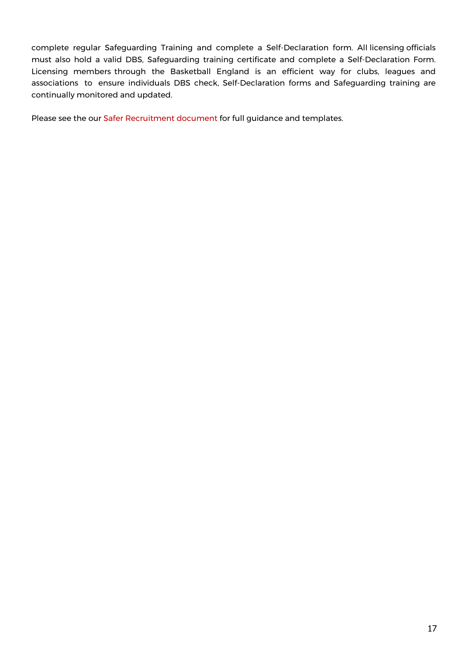complete regular Safeguarding Training and complete a Self-Declaration form. All licensing officials must also hold a valid DBS, Safeguarding training certificate and complete a Self-Declaration Form. Licensing members through the Basketball England is an efficient way for clubs, leagues and associations to ensure individuals DBS check, Self-Declaration forms and Safeguarding training are continually monitored and updated.

Please see the our [Safer Recruitment document](https://www.basketballengland.co.uk/media/14552/be-safer-recruitment-guidance.pdf) for full guidance and templates.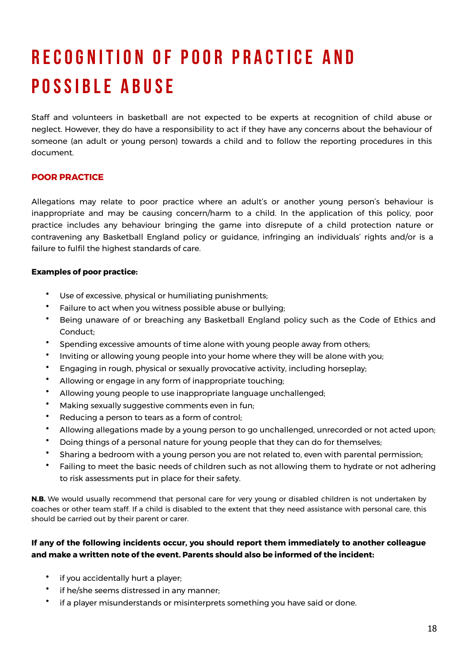# **R e c o g n I t I o n o f p o o r p r a c t I c e a n d POSSIBLE ABUSE**

Staff and volunteers in basketball are not expected to be experts at recognition of child abuse or neglect. However, they do have a responsibility to act if they have any concerns about the behaviour of someone (an adult or young person) towards a child and to follow the reporting procedures in this document.

# **POOR PRACTICE**

Allegations may relate to poor practice where an adult's or another young person's behaviour is inappropriate and may be causing concern/harm to a child. In the application of this policy, poor practice includes any behaviour bringing the game into disrepute of a child protection nature or contravening any Basketball England policy or guidance, infringing an individuals' rights and/or is a failure to fulfil the highest standards of care.

#### **Examples of poor practice:**

- Use of excessive, physical or humiliating punishments;
- Failure to act when you witness possible abuse or bullying;
- Being unaware of or breaching any Basketball England policy such as the Code of Ethics and Conduct;
- Spending excessive amounts of time alone with young people away from others;
- Inviting or allowing young people into your home where they will be alone with you;
- Engaging in rough, physical or sexually provocative activity, including horseplay;
- Allowing or engage in any form of inappropriate touching;
- Allowing young people to use inappropriate language unchallenged;
- Making sexually suggestive comments even in fun;
- Reducing a person to tears as a form of control;
- Allowing allegations made by a young person to go unchallenged, unrecorded or not acted upon;
- Doing things of a personal nature for young people that they can do for themselves;
- Sharing a bedroom with a young person you are not related to, even with parental permission;
- Failing to meet the basic needs of children such as not allowing them to hydrate or not adhering to risk assessments put in place for their safety.

**N.B.** We would usually recommend that personal care for very young or disabled children is not undertaken by coaches or other team staff. If a child is disabled to the extent that they need assistance with personal care, this should be carried out by their parent or carer.

### **If any of the following incidents occur, you should report them immediately to another colleague and make a written note of the event. Parents should also be informed of the incident:**

- if you accidentally hurt a player;
- if he/she seems distressed in any manner;
- if a player misunderstands or misinterprets something you have said or done.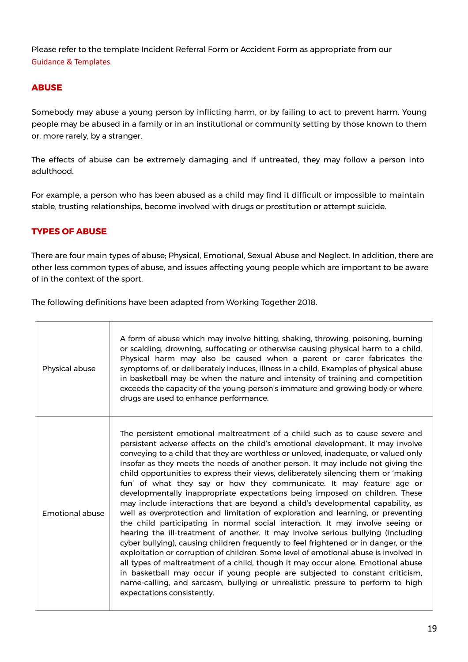Please refer to the template Incident Referral Form or Accident Form as appropriate from our [Guidance & Templates](https://www.basketballengland.co.uk/safeguarding/guidance-templates/).

# **ABUSE**

Somebody may abuse a young person by inflicting harm, or by failing to act to prevent harm. Young people may be abused in a family or in an institutional or community setting by those known to them or, more rarely, by a stranger.

The effects of abuse can be extremely damaging and if untreated, they may follow a person into adulthood.

For example, a person who has been abused as a child may find it difficult or impossible to maintain stable, trusting relationships, become involved with drugs or prostitution or attempt suicide.

# **TYPES OF ABUSE**

There are four main types of abuse; Physical, Emotional, Sexual Abuse and Neglect. In addition, there are other less common types of abuse, and issues affecting young people which are important to be aware of in the context of the sport.

The following definitions have been adapted from Working Together 2018.

| Physical abuse  | A form of abuse which may involve hitting, shaking, throwing, poisoning, burning<br>or scalding, drowning, suffocating or otherwise causing physical harm to a child.<br>Physical harm may also be caused when a parent or carer fabricates the<br>symptoms of, or deliberately induces, illness in a child. Examples of physical abuse<br>in basketball may be when the nature and intensity of training and competition<br>exceeds the capacity of the young person's immature and growing body or where<br>drugs are used to enhance performance.                                                                                                                                                                                                                                                                                                                                                                                                                                                                                                                                                                                                                                                                                                                                                                                                                                                     |
|-----------------|----------------------------------------------------------------------------------------------------------------------------------------------------------------------------------------------------------------------------------------------------------------------------------------------------------------------------------------------------------------------------------------------------------------------------------------------------------------------------------------------------------------------------------------------------------------------------------------------------------------------------------------------------------------------------------------------------------------------------------------------------------------------------------------------------------------------------------------------------------------------------------------------------------------------------------------------------------------------------------------------------------------------------------------------------------------------------------------------------------------------------------------------------------------------------------------------------------------------------------------------------------------------------------------------------------------------------------------------------------------------------------------------------------|
| Emotional abuse | The persistent emotional maltreatment of a child such as to cause severe and<br>persistent adverse effects on the child's emotional development. It may involve<br>conveying to a child that they are worthless or unloved, inadequate, or valued only<br>insofar as they meets the needs of another person. It may include not giving the<br>child opportunities to express their views, deliberately silencing them or 'making<br>fun' of what they say or how they communicate. It may feature age or<br>developmentally inappropriate expectations being imposed on children. These<br>may include interactions that are beyond a child's developmental capability, as<br>well as overprotection and limitation of exploration and learning, or preventing<br>the child participating in normal social interaction. It may involve seeing or<br>hearing the ill-treatment of another. It may involve serious bullying (including<br>cyber bullying), causing children frequently to feel frightened or in danger, or the<br>exploitation or corruption of children. Some level of emotional abuse is involved in<br>all types of maltreatment of a child, though it may occur alone. Emotional abuse<br>in basketball may occur if young people are subjected to constant criticism,<br>name-calling, and sarcasm, bullying or unrealistic pressure to perform to high<br>expectations consistently. |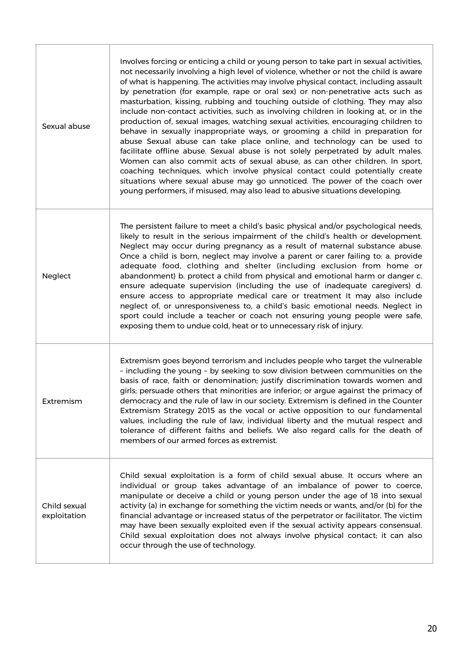| Sexual abuse                 | Involves forcing or enticing a child or young person to take part in sexual activities,<br>not necessarily involving a high level of violence, whether or not the child is aware<br>of what is happening. The activities may involve physical contact, including assault<br>by penetration (for example, rape or oral sex) or non-penetrative acts such as<br>masturbation, kissing, rubbing and touching outside of clothing. They may also<br>include non-contact activities, such as involving children in looking at, or in the<br>production of, sexual images, watching sexual activities, encouraging children to<br>behave in sexually inappropriate ways, or grooming a child in preparation for<br>abuse Sexual abuse can take place online, and technology can be used to<br>facilitate offline abuse. Sexual abuse is not solely perpetrated by adult males.<br>Women can also commit acts of sexual abuse, as can other children. In sport,<br>coaching techniques, which involve physical contact could potentially create<br>situations where sexual abuse may go unnoticed. The power of the coach over<br>young performers, if misused, may also lead to abusive situations developing. |  |
|------------------------------|----------------------------------------------------------------------------------------------------------------------------------------------------------------------------------------------------------------------------------------------------------------------------------------------------------------------------------------------------------------------------------------------------------------------------------------------------------------------------------------------------------------------------------------------------------------------------------------------------------------------------------------------------------------------------------------------------------------------------------------------------------------------------------------------------------------------------------------------------------------------------------------------------------------------------------------------------------------------------------------------------------------------------------------------------------------------------------------------------------------------------------------------------------------------------------------------------------|--|
| Neglect                      | The persistent failure to meet a child's basic physical and/or psychological needs,<br>likely to result in the serious impairment of the child's health or development.<br>Neglect may occur during pregnancy as a result of maternal substance abuse.<br>Once a child is born, neglect may involve a parent or carer failing to: a. provide<br>adequate food, clothing and shelter (including exclusion from home or<br>abandonment) b. protect a child from physical and emotional harm or danger c.<br>ensure adequate supervision (including the use of inadequate caregivers) d.<br>ensure access to appropriate medical care or treatment It may also include<br>neglect of, or unresponsiveness to, a child's basic emotional needs. Neglect in<br>sport could include a teacher or coach not ensuring young people were safe,<br>exposing them to undue cold, heat or to unnecessary risk of injury.                                                                                                                                                                                                                                                                                             |  |
| Extremism                    | Extremism goes beyond terrorism and includes people who target the vulnerable<br>- including the young - by seeking to sow division between communities on the<br>basis of race, faith or denomination; justify discrimination towards women and<br>girls; persuade others that minorities are inferior; or argue against the primacy of<br>democracy and the rule of law in our society. Extremism is defined in the Counter<br>Extremism Strategy 2015 as the vocal or active opposition to our fundamental<br>values, including the rule of law, individual liberty and the mutual respect and<br>tolerance of different faiths and beliefs. We also regard calls for the death of<br>members of our armed forces as extremist.                                                                                                                                                                                                                                                                                                                                                                                                                                                                       |  |
| Child sexual<br>exploitation | Child sexual exploitation is a form of child sexual abuse. It occurs where an<br>individual or group takes advantage of an imbalance of power to coerce,<br>manipulate or deceive a child or young person under the age of 18 into sexual<br>activity (a) in exchange for something the victim needs or wants, and/or (b) for the<br>financial advantage or increased status of the perpetrator or facilitator. The victim<br>may have been sexually exploited even if the sexual activity appears consensual.<br>Child sexual exploitation does not always involve physical contact; it can also<br>occur through the use of technology.                                                                                                                                                                                                                                                                                                                                                                                                                                                                                                                                                                |  |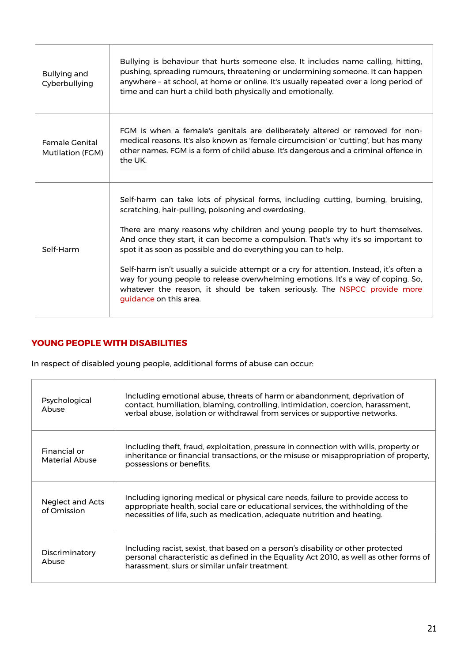| <b>Bullying and</b><br>Cyberbullying | Bullying is behaviour that hurts someone else. It includes name calling, hitting,<br>pushing, spreading rumours, threatening or undermining someone. It can happen<br>anywhere - at school, at home or online. It's usually repeated over a long period of<br>time and can hurt a child both physically and emotionally.                                                                                                                                                                                                                                                                                                                                            |  |
|--------------------------------------|---------------------------------------------------------------------------------------------------------------------------------------------------------------------------------------------------------------------------------------------------------------------------------------------------------------------------------------------------------------------------------------------------------------------------------------------------------------------------------------------------------------------------------------------------------------------------------------------------------------------------------------------------------------------|--|
| Female Genital<br>Mutilation (FGM)   | FGM is when a female's genitals are deliberately altered or removed for non-<br>medical reasons. It's also known as 'female circumcision' or 'cutting', but has many<br>other names. FGM is a form of child abuse. It's dangerous and a criminal offence in<br>the UK.                                                                                                                                                                                                                                                                                                                                                                                              |  |
| Self-Harm                            | Self-harm can take lots of physical forms, including cutting, burning, bruising,<br>scratching, hair-pulling, poisoning and overdosing.<br>There are many reasons why children and young people try to hurt themselves.<br>And once they start, it can become a compulsion. That's why it's so important to<br>spot it as soon as possible and do everything you can to help.<br>Self-harm isn't usually a suicide attempt or a cry for attention. Instead, it's often a<br>way for young people to release overwhelming emotions. It's a way of coping. So,<br>whatever the reason, it should be taken seriously. The NSPCC provide more<br>guidance on this area. |  |

# **YOUNG PEOPLE WITH DISABILITIES**

In respect of disabled young people, additional forms of abuse can occur:

| Psychological<br>Abuse                | Including emotional abuse, threats of harm or abandonment, deprivation of<br>contact, humiliation, blaming, controlling, intimidation, coercion, harassment,<br>verbal abuse, isolation or withdrawal from services or supportive networks.    |
|---------------------------------------|------------------------------------------------------------------------------------------------------------------------------------------------------------------------------------------------------------------------------------------------|
| Financial or<br><b>Material Abuse</b> | Including theft, fraud, exploitation, pressure in connection with wills, property or<br>inheritance or financial transactions, or the misuse or misappropriation of property,<br>possessions or benefits.                                      |
| Neglect and Acts<br>of Omission       | Including ignoring medical or physical care needs, failure to provide access to<br>appropriate health, social care or educational services, the withholding of the<br>necessities of life, such as medication, adequate nutrition and heating. |
| Discriminatory<br>Abuse               | Including racist, sexist, that based on a person's disability or other protected<br>personal characteristic as defined in the Equality Act 2010, as well as other forms of<br>harassment, slurs or similar unfair treatment.                   |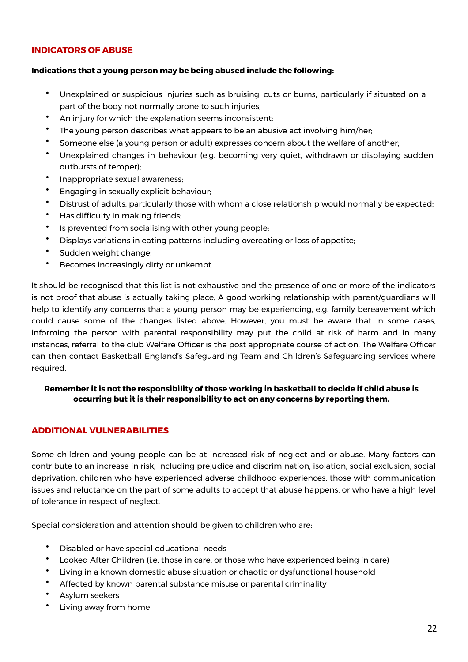### **INDICATORS OF ABUSE**

#### **Indications that a young person may be being abused include the following:**

- Unexplained or suspicious injuries such as bruising, cuts or burns, particularly if situated on a part of the body not normally prone to such injuries;
- An injury for which the explanation seems inconsistent;
- The young person describes what appears to be an abusive act involving him/her;
- Someone else (a young person or adult) expresses concern about the welfare of another;
- Unexplained changes in behaviour (e.g. becoming very quiet, withdrawn or displaying sudden outbursts of temper);
- Inappropriate sexual awareness;
- Engaging in sexually explicit behaviour;
- Distrust of adults, particularly those with whom a close relationship would normally be expected;
- Has difficulty in making friends;
- Is prevented from socialising with other young people;
- Displays variations in eating patterns including overeating or loss of appetite;
- Sudden weight change;
- Becomes increasingly dirty or unkempt.

It should be recognised that this list is not exhaustive and the presence of one or more of the indicators is not proof that abuse is actually taking place. A good working relationship with parent/guardians will help to identify any concerns that a young person may be experiencing, e.g. family bereavement which could cause some of the changes listed above. However, you must be aware that in some cases, informing the person with parental responsibility may put the child at risk of harm and in many instances, referral to the club Welfare Officer is the post appropriate course of action. The Welfare Officer can then contact Basketball England's Safeguarding Team and Children's Safeguarding services where required.

#### **Remember it is not the responsibility of those working in basketball to decide if child abuse is occurring but it is their responsibility to act on any concerns by reporting them.**

#### **ADDITIONAL VULNERABILITIES**

Some children and young people can be at increased risk of neglect and or abuse. Many factors can contribute to an increase in risk, including prejudice and discrimination, isolation, social exclusion, social deprivation, children who have experienced adverse childhood experiences, those with communication issues and reluctance on the part of some adults to accept that abuse happens, or who have a high level of tolerance in respect of neglect.

Special consideration and attention should be given to children who are:

- Disabled or have special educational needs
- Looked After Children (i.e. those in care, or those who have experienced being in care)
- Living in a known domestic abuse situation or chaotic or dysfunctional household
- Affected by known parental substance misuse or parental criminality
- Asylum seekers
- Living away from home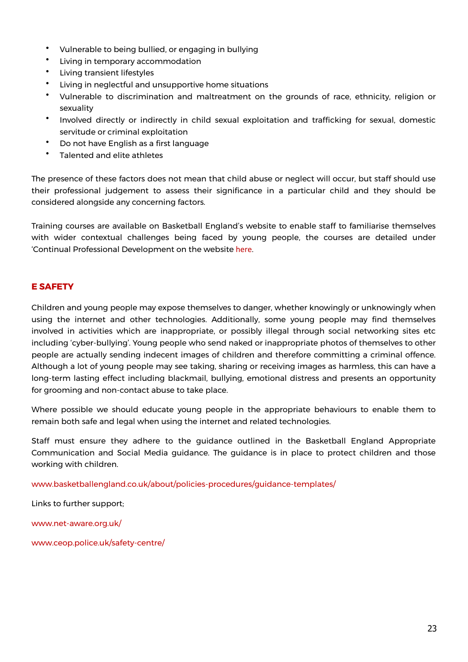- Vulnerable to being bullied, or engaging in bullying
- Living in temporary accommodation
- Living transient lifestyles
- Living in neglectful and unsupportive home situations
- Vulnerable to discrimination and maltreatment on the grounds of race, ethnicity, religion or sexuality
- Involved directly or indirectly in child sexual exploitation and trafficking for sexual, domestic servitude or criminal exploitation
- Do not have English as a first language
- Talented and elite athletes

The presence of these factors does not mean that child abuse or neglect will occur, but staff should use their professional judgement to assess their significance in a particular child and they should be considered alongside any concerning factors.

Training courses are available on Basketball England's website to enable staff to familiarise themselves with wider contextual challenges being faced by young people, the courses are detailed under 'Continual Professional Development on the website [here](https://www.basketballengland.co.uk/safeguarding/safeguarding-training-research/).

# **E SAFETY**

Children and young people may expose themselves to danger, whether knowingly or unknowingly when using the internet and other technologies. Additionally, some young people may find themselves involved in activities which are inappropriate, or possibly illegal through social networking sites etc including 'cyber-bullying'. Young people who send naked or inappropriate photos of themselves to other people are actually sending indecent images of children and therefore committing a criminal offence. Although a lot of young people may see taking, sharing or receiving images as harmless, this can have a long-term lasting effect including blackmail, bullying, emotional distress and presents an opportunity for grooming and non-contact abuse to take place.

Where possible we should educate young people in the appropriate behaviours to enable them to remain both safe and legal when using the internet and related technologies.

Staff must ensure they adhere to the guidance outlined in the Basketball England Appropriate Communication and Social Media guidance. The guidance is in place to protect children and those working with children.

[www.basketballengland.co.uk/about/policies-procedures/guidance-templates/](https://www.basketballengland.co.uk/about/policies-procedures/guidance-templates/) 

Links to further support;

[www.net-aware.org.uk/](https://www.net-aware.org.uk/)

[www.ceop.police.uk/safety-centre/](https://www.ceop.police.uk/safety-centre/)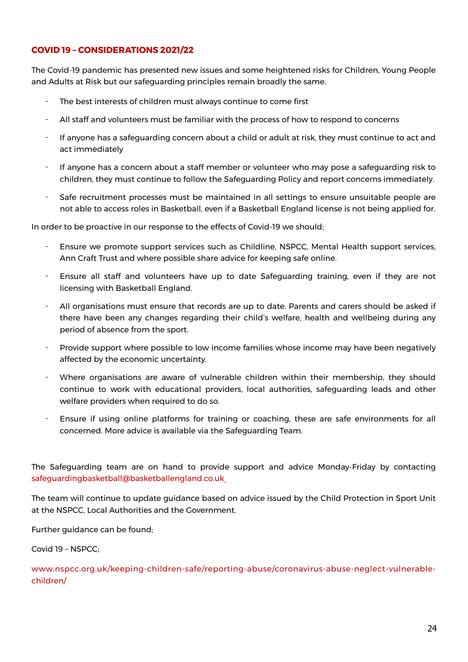# **COVID 19 – CONSIDERATIONS 2021/22**

The Covid-19 pandemic has presented new issues and some heightened risks for Children, Young People and Adults at Risk but our safeguarding principles remain broadly the same.

- The best interests of children must always continue to come first
- All staff and volunteers must be familiar with the process of how to respond to concerns
- If anyone has a safeguarding concern about a child or adult at risk, they must continue to act and act immediately
- If anyone has a concern about a staff member or volunteer who may pose a safeguarding risk to children, they must continue to follow the Safeguarding Policy and report concerns immediately.
- Safe recruitment processes must be maintained in all settings to ensure unsuitable people are not able to access roles in Basketball, even if a Basketball England license is not being applied for.

In order to be proactive in our response to the effects of Covid-19 we should;

- Ensure we promote support services such as Childline, NSPCC, Mental Health support services, Ann Craft Trust and where possible share advice for keeping safe online.
- Ensure all staff and volunteers have up to date Safeguarding training, even if they are not licensing with Basketball England.
- All organisations must ensure that records are up to date. Parents and carers should be asked if there have been any changes regarding their child's welfare, health and wellbeing during any period of absence from the sport.
- Provide support where possible to low income families whose income may have been negatively affected by the economic uncertainty.
- Where organisations are aware of vulnerable children within their membership, they should continue to work with educational providers, local authorities, safeguarding leads and other welfare providers when required to do so.
- Ensure if using online platforms for training or coaching, these are safe environments for all concerned. More advice is available via the Safeguarding Team.

The Safeguarding team are on hand to provide support and advice Monday-Friday by contacting [safeguardingbasketball@basketballengland.co.uk](mailto:safeguardingbasketball@basketballengland.co.uk)

The team will continue to update guidance based on advice issued by the Child Protection in Sport Unit at the NSPCC, Local Authorities and the Government.

Further guidance can be found;

Covid 19 – NSPCC;

[www.nspcc.org.uk/keeping-children-safe/reporting-abuse/coronavirus-abuse-neglect-vulnerable](https://www.nspcc.org.uk/keeping-children-safe/reporting-abuse/coronavirus-abuse-neglect-vulnerable-children/)[children/](https://www.nspcc.org.uk/keeping-children-safe/reporting-abuse/coronavirus-abuse-neglect-vulnerable-children/)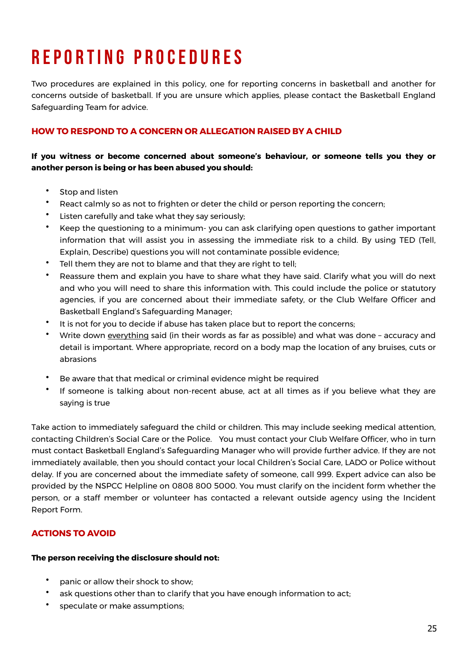# **R e p o r t I n g p r o c e d u r e s**

Two procedures are explained in this policy, one for reporting concerns in basketball and another for concerns outside of basketball. If you are unsure which applies, please contact the Basketball England Safeguarding Team for advice.

# **HOW TO RESPOND TO A CONCERN OR ALLEGATION RAISED BY A CHILD**

**If you witness or become concerned about someone's behaviour, or someone tells you they or another person is being or has been abused you should:**

- Stop and listen
- React calmly so as not to frighten or deter the child or person reporting the concern;
- Listen carefully and take what they say seriously;
- Keep the questioning to a minimum- you can ask clarifying open questions to gather important information that will assist you in assessing the immediate risk to a child. By using TED (Tell, Explain, Describe) questions you will not contaminate possible evidence;
- Tell them they are not to blame and that they are right to tell;
- Reassure them and explain you have to share what they have said. Clarify what you will do next and who you will need to share this information with. This could include the police or statutory agencies, if you are concerned about their immediate safety, or the Club Welfare Officer and Basketball England's Safeguarding Manager;
- It is not for you to decide if abuse has taken place but to report the concerns;
- Write down everything said (in their words as far as possible) and what was done accuracy and detail is important. Where appropriate, record on a body map the location of any bruises, cuts or abrasions
- Be aware that that medical or criminal evidence might be required
- If someone is talking about non-recent abuse, act at all times as if you believe what they are saying is true

Take action to immediately safeguard the child or children. This may include seeking medical attention, contacting Children's Social Care or the Police. You must contact your Club Welfare Officer, who in turn must contact Basketball England's Safeguarding Manager who will provide further advice. If they are not immediately available, then you should contact your local Children's Social Care, LADO or Police without delay. If you are concerned about the immediate safety of someone, call 999. Expert advice can also be provided by the NSPCC Helpline on 0808 800 5000. You must clarify on the incident form whether the person, or a staff member or volunteer has contacted a relevant outside agency using the Incident Report Form.

# **ACTIONS TO AVOID**

#### **The person receiving the disclosure should not:**

- panic or allow their shock to show;
- ask questions other than to clarify that you have enough information to act;
- speculate or make assumptions;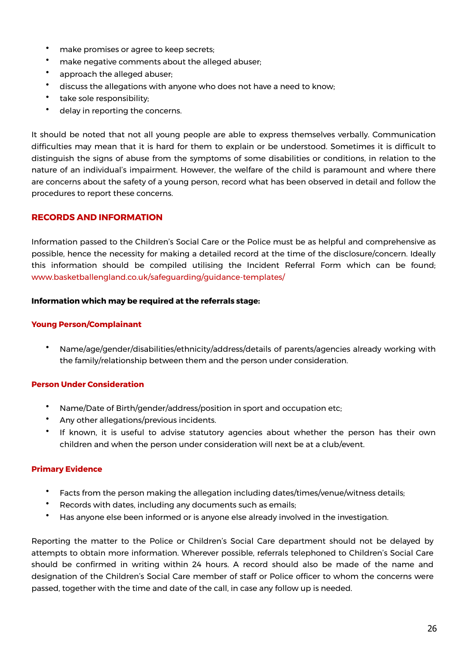- make promises or agree to keep secrets;
- make negative comments about the alleged abuser;
- approach the alleged abuser;
- discuss the allegations with anyone who does not have a need to know;
- take sole responsibility;
- delay in reporting the concerns.

It should be noted that not all young people are able to express themselves verbally. Communication difficulties may mean that it is hard for them to explain or be understood. Sometimes it is difficult to distinguish the signs of abuse from the symptoms of some disabilities or conditions, in relation to the nature of an individual's impairment. However, the welfare of the child is paramount and where there are concerns about the safety of a young person, record what has been observed in detail and follow the procedures to report these concerns.

#### **RECORDS AND INFORMATION**

Information passed to the Children's Social Care or the Police must be as helpful and comprehensive as possible, hence the necessity for making a detailed record at the time of the disclosure/concern. Ideally this information should be compiled utilising the Incident Referral Form which can be found; [www.basketballengland.co.uk/safeguarding/guidance-templates/](https://www.basketballengland.co.uk/safeguarding/guidance-templates/)

#### **Information which may be required at the referrals stage:**

#### **Young Person/Complainant**

• Name/age/gender/disabilities/ethnicity/address/details of parents/agencies already working with the family/relationship between them and the person under consideration.

#### **Person Under Consideration**

- Name/Date of Birth/gender/address/position in sport and occupation etc;
- Any other allegations/previous incidents.
- If known, it is useful to advise statutory agencies about whether the person has their own children and when the person under consideration will next be at a club/event.

#### **Primary Evidence**

- Facts from the person making the allegation including dates/times/venue/witness details;
- Records with dates, including any documents such as emails;
- Has anyone else been informed or is anyone else already involved in the investigation.

Reporting the matter to the Police or Children's Social Care department should not be delayed by attempts to obtain more information. Wherever possible, referrals telephoned to Children's Social Care should be confirmed in writing within 24 hours. A record should also be made of the name and designation of the Children's Social Care member of staff or Police officer to whom the concerns were passed, together with the time and date of the call, in case any follow up is needed.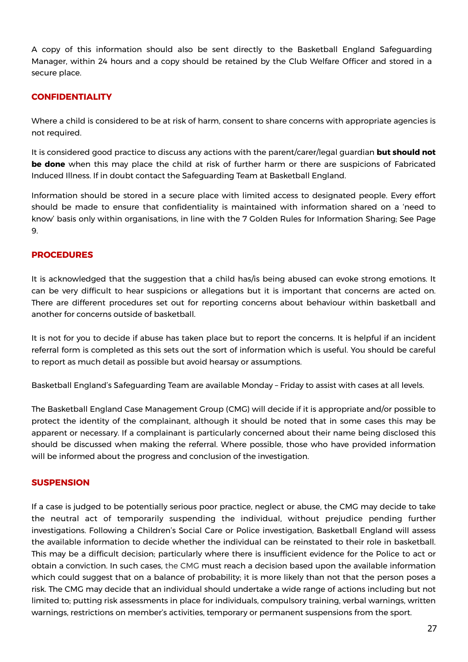A copy of this information should also be sent directly to the Basketball England Safeguarding Manager, within 24 hours and a copy should be retained by the Club Welfare Officer and stored in a secure place.

### **CONFIDENTIALITY**

Where a child is considered to be at risk of harm, consent to share concerns with appropriate agencies is not required.

It is considered good practice to discuss any actions with the parent/carer/legal guardian **but should not be done** when this may place the child at risk of further harm or there are suspicions of Fabricated Induced Illness. If in doubt contact the Safeguarding Team at Basketball England.

Information should be stored in a secure place with limited access to designated people. Every effort should be made to ensure that confidentiality is maintained with information shared on a 'need to know' basis only within organisations, in line with the 7 Golden Rules for Information Sharing; See Page 9.

### **PROCEDURES**

It is acknowledged that the suggestion that a child has/is being abused can evoke strong emotions. It can be very difficult to hear suspicions or allegations but it is important that concerns are acted on. There are different procedures set out for reporting concerns about behaviour within basketball and another for concerns outside of basketball.

It is not for you to decide if abuse has taken place but to report the concerns. It is helpful if an incident referral form is completed as this sets out the sort of information which is useful. You should be careful to report as much detail as possible but avoid hearsay or assumptions.

Basketball England's Safeguarding Team are available Monday – Friday to assist with cases at all levels.

The Basketball England Case Management Group (CMG) will decide if it is appropriate and/or possible to protect the identity of the complainant, although it should be noted that in some cases this may be apparent or necessary. If a complainant is particularly concerned about their name being disclosed this should be discussed when making the referral. Where possible, those who have provided information will be informed about the progress and conclusion of the investigation.

#### **SUSPENSION**

If a case is judged to be potentially serious poor practice, neglect or abuse, the CMG may decide to take the neutral act of temporarily suspending the individual, without prejudice pending further investigations. Following a Children's Social Care or Police investigation, Basketball England will assess the available information to decide whether the individual can be reinstated to their role in basketball. This may be a difficult decision; particularly where there is insufficient evidence for the Police to act or obtain a conviction. In such cases, the CMG must reach a decision based upon the available information which could suggest that on a balance of probability; it is more likely than not that the person poses a risk. The CMG may decide that an individual should undertake a wide range of actions including but not limited to; putting risk assessments in place for individuals, compulsory training, verbal warnings, written warnings, restrictions on member's activities, temporary or permanent suspensions from the sport.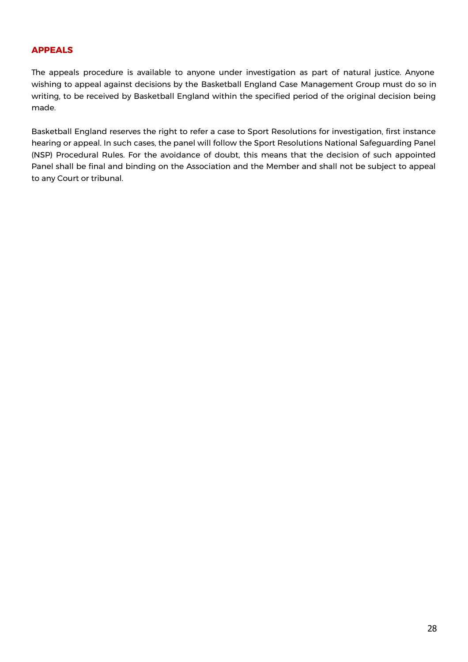# **APPEALS**

The appeals procedure is available to anyone under investigation as part of natural justice. Anyone wishing to appeal against decisions by the Basketball England Case Management Group must do so in writing, to be received by Basketball England within the specified period of the original decision being made.

Basketball England reserves the right to refer a case to Sport Resolutions for investigation, first instance hearing or appeal. In such cases, the panel will follow the Sport Resolutions National Safeguarding Panel (NSP) Procedural Rules. For the avoidance of doubt, this means that the decision of such appointed Panel shall be final and binding on the Association and the Member and shall not be subject to appeal to any Court or tribunal.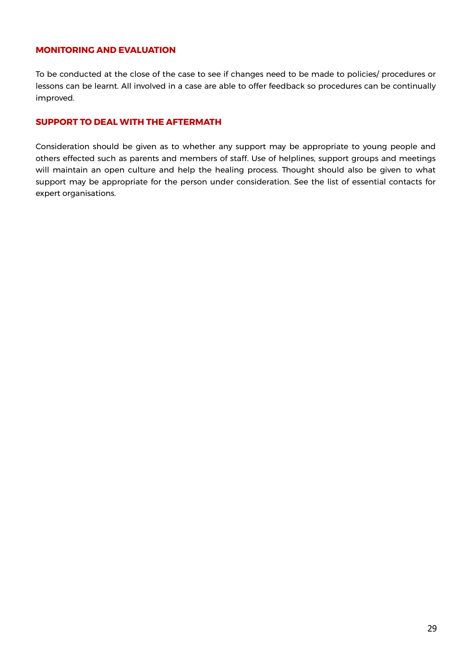# **MONITORING AND EVALUATION**

To be conducted at the close of the case to see if changes need to be made to policies/ procedures or lessons can be learnt. All involved in a case are able to offer feedback so procedures can be continually improved.

#### **SUPPORT TO DEAL WITH THE AFTERMATH**

Consideration should be given as to whether any support may be appropriate to young people and others effected such as parents and members of staff. Use of helplines, support groups and meetings will maintain an open culture and help the healing process. Thought should also be given to what support may be appropriate for the person under consideration. See the list of essential contacts for expert organisations.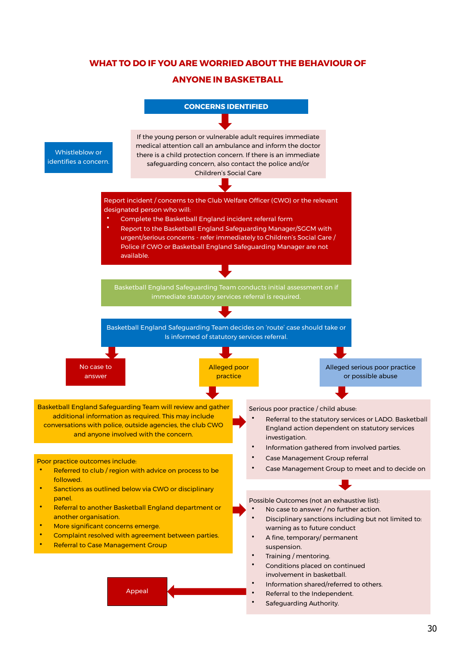# **WHAT TO DO IF YOU ARE WORRIED ABOUT THE BEHAVIOUR OF**

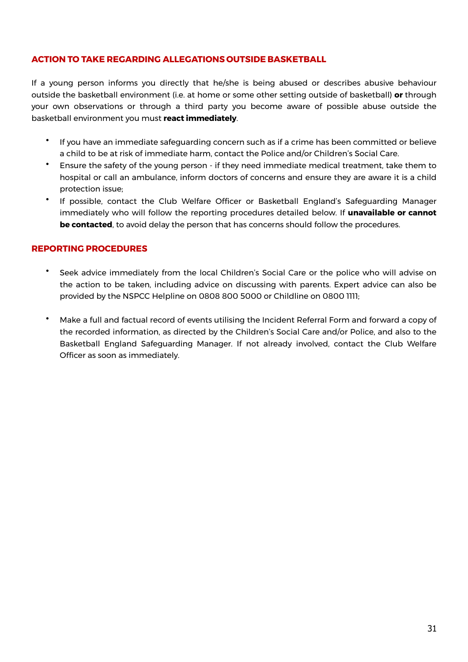# **ACTION TO TAKE REGARDING ALLEGATIONS OUTSIDE BASKETBALL**

If a young person informs you directly that he/she is being abused or describes abusive behaviour outside the basketball environment (i.e. at home or some other setting outside of basketball) **or** through your own observations or through a third party you become aware of possible abuse outside the basketball environment you must **react immediately**.

- If you have an immediate safeguarding concern such as if a crime has been committed or believe a child to be at risk of immediate harm, contact the Police and/or Children's Social Care.
- Ensure the safety of the young person if they need immediate medical treatment, take them to hospital or call an ambulance, inform doctors of concerns and ensure they are aware it is a child protection issue;
- If possible, contact the Club Welfare Officer or Basketball England's Safeguarding Manager immediately who will follow the reporting procedures detailed below. If **unavailable or cannot be contacted**, to avoid delay the person that has concerns should follow the procedures.

#### **REPORTING PROCEDURES**

- Seek advice immediately from the local Children's Social Care or the police who will advise on the action to be taken, including advice on discussing with parents. Expert advice can also be provided by the NSPCC Helpline on 0808 800 5000 or Childline on 0800 1111;
- Make a full and factual record of events utilising the Incident Referral Form and forward a copy of the recorded information, as directed by the Children's Social Care and/or Police, and also to the Basketball England Safeguarding Manager. If not already involved, contact the Club Welfare Officer as soon as immediately.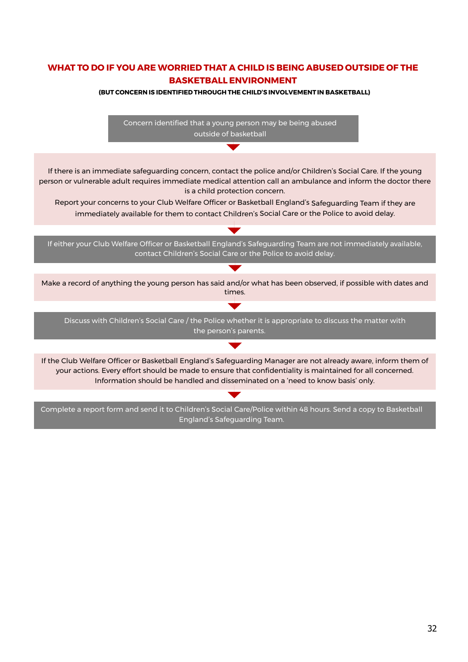# **WHAT TO DO IF YOU ARE WORRIED THAT A CHILD IS BEING ABUSED OUTSIDE OF THE BASKETBALL ENVIRONMENT**

#### **(BUT CONCERN IS IDENTIFIED THROUGH THE CHILD'S INVOLVEMENTIN BASKETBALL)**

Concern identified that a young person may be being abused outside of basketball If there is an immediate safeguarding concern, contact the police and/or Children's Social Care. If the young person or vulnerable adult requires immediate medical attention call an ambulance and inform the doctor there is a child protection concern. Report your concerns to your Club Welfare Officer or Basketball England's Safeguarding Team if they are immediately available for them to contact Children's Social Care or the Police to avoid delay. If either your Club Welfare Officer or Basketball England's Safeguarding Team are not immediately available, contact Children's Social Care or the Police to avoid delay. Make a record of anything the young person has said and/or what has been observed, if possible with dates and times.  $\blacktriangledown$ Discuss with Children's Social Care / the Police whether it is appropriate to discuss the matter with the person's parents. If the Club Welfare Officer or Basketball England's Safeguarding Manager are not already aware, inform them of your actions. Every effort should be made to ensure that confidentiality is maintained for all concerned. Information should be handled and disseminated on a 'need to know basis' only.Complete a report form and send it to Children's Social Care/Police within 48 hours. Send a copy to Basketball England's Safeguarding Team.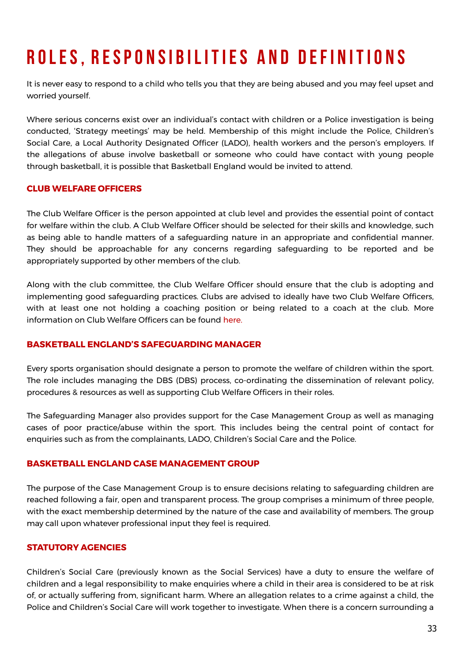# **ROLES, RESPONSIBILITIES AND DEFINITIONS**

It is never easy to respond to a child who tells you that they are being abused and you may feel upset and worried yourself.

Where serious concerns exist over an individual's contact with children or a Police investigation is being conducted, 'Strategy meetings' may be held. Membership of this might include the Police, Children's Social Care, a Local Authority Designated Officer (LADO), health workers and the person's employers. If the allegations of abuse involve basketball or someone who could have contact with young people through basketball, it is possible that Basketball England would be invited to attend.

# **CLUB WELFARE OFFICERS**

The Club Welfare Officer is the person appointed at club level and provides the essential point of contact for welfare within the club. A Club Welfare Officer should be selected for their skills and knowledge, such as being able to handle matters of a safeguarding nature in an appropriate and confidential manner. They should be approachable for any concerns regarding safeguarding to be reported and be appropriately supported by other members of the club.

Along with the club committee, the Club Welfare Officer should ensure that the club is adopting and implementing good safeguarding practices. Clubs are advised to ideally have two Club Welfare Officers, with at least one not holding a coaching position or being related to a coach at the club. More information on Club Welfare Officers can be found [here](https://www.basketballengland.co.uk/media/14566/club-welfare-officer-july-2021.pdf).

#### **BASKETBALL ENGLAND'S SAFEGUARDING MANAGER**

Every sports organisation should designate a person to promote the welfare of children within the sport. The role includes managing the DBS (DBS) process, co-ordinating the dissemination of relevant policy, procedures & resources as well as supporting Club Welfare Officers in their roles.

The Safeguarding Manager also provides support for the Case Management Group as well as managing cases of poor practice/abuse within the sport. This includes being the central point of contact for enquiries such as from the complainants, LADO, Children's Social Care and the Police.

#### **BASKETBALL ENGLAND CASE MANAGEMENT GROUP**

The purpose of the Case Management Group is to ensure decisions relating to safeguarding children are reached following a fair, open and transparent process. The group comprises a minimum of three people, with the exact membership determined by the nature of the case and availability of members. The group may call upon whatever professional input they feel is required.

# **STATUTORY AGENCIES**

Children's Social Care (previously known as the Social Services) have a duty to ensure the welfare of children and a legal responsibility to make enquiries where a child in their area is considered to be at risk of, or actually suffering from, significant harm. Where an allegation relates to a crime against a child, the Police and Children's Social Care will work together to investigate. When there is a concern surrounding a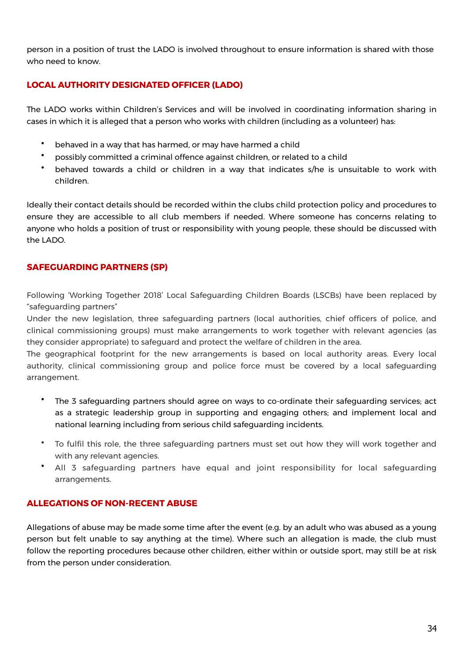person in a position of trust the LADO is involved throughout to ensure information is shared with those who need to know.

# **LOCAL AUTHORITY DESIGNATED OFFICER (LADO)**

The LADO works within Children's Services and will be involved in coordinating information sharing in cases in which it is alleged that a person who works with children (including as a volunteer) has:

- behaved in a way that has harmed, or may have harmed a child
- possibly committed a criminal offence against children, or related to a child
- behaved towards a child or children in a way that indicates s/he is unsuitable to work with children.

Ideally their contact details should be recorded within the clubs child protection policy and procedures to ensure they are accessible to all club members if needed. Where someone has concerns relating to anyone who holds a position of trust or responsibility with young people, these should be discussed with the LADO.

# **SAFEGUARDING PARTNERS (SP)**

Following 'Working Together 2018' Local Safeguarding Children Boards (LSCBs) have been replaced by "safeguarding partners"

Under the new legislation, three safeguarding partners (local authorities, chief officers of police, and clinical commissioning groups) must make arrangements to work together with relevant agencies (as they consider appropriate) to safeguard and protect the welfare of children in the area.

The geographical footprint for the new arrangements is based on local authority areas. Every local authority, clinical commissioning group and police force must be covered by a local safeguarding arrangement.

- The 3 safeguarding partners should agree on ways to co-ordinate their safeguarding services; act as a strategic leadership group in supporting and engaging others; and implement local and national learning including from serious child safeguarding incidents.
- To fulfil this role, the three safeguarding partners must set out how they will work together and with any relevant agencies.
- All 3 safeguarding partners have equal and joint responsibility for local safeguarding arrangements.

# **ALLEGATIONS OF NON-RECENT ABUSE**

Allegations of abuse may be made some time after the event (e.g. by an adult who was abused as a young person but felt unable to say anything at the time). Where such an allegation is made, the club must follow the reporting procedures because other children, either within or outside sport, may still be at risk from the person under consideration.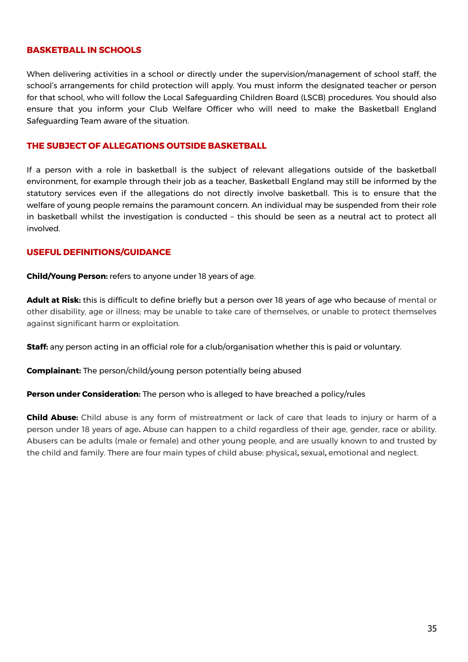#### **BASKETBALL IN SCHOOLS**

When delivering activities in a school or directly under the supervision/management of school staff, the school's arrangements for child protection will apply. You must inform the designated teacher or person for that school, who will follow the Local Safeguarding Children Board (LSCB) procedures. You should also ensure that you inform your Club Welfare Officer who will need to make the Basketball England Safeguarding Team aware of the situation.

#### **THE SUBJECT OF ALLEGATIONS OUTSIDE BASKETBALL**

If a person with a role in basketball is the subject of relevant allegations outside of the basketball environment, for example through their job as a teacher, Basketball England may still be informed by the statutory services even if the allegations do not directly involve basketball. This is to ensure that the welfare of young people remains the paramount concern. An individual may be suspended from their role in basketball whilst the investigation is conducted – this should be seen as a neutral act to protect all involved.

#### **USEFUL DEFINITIONS/GUIDANCE**

**Child/Young Person:** refers to anyone under 18 years of age.

**Adult at Risk:** this is difficult to define briefly but a person over 18 years of age who because of mental or other disability, age or illness; may be unable to take care of themselves, or unable to protect themselves against significant harm or exploitation.

**Staff:** any person acting in an official role for a club/organisation whether this is paid or voluntary.

**Complainant:** The person/child/young person potentially being abused

**Person under Consideration:** The person who is alleged to have breached a policy/rules

**Child Abuse:** Child abuse is any form of mistreatment or lack of care that leads to injury or harm of a person under 18 years of age**.** Abuse can happen to a child regardless of their age, gender, race or ability. Abusers can be adults (male or female) and other young people, and are usually known to and trusted by the child and family. There are four main types of child abuse: physical**,** sexual**,** emotional and neglect.